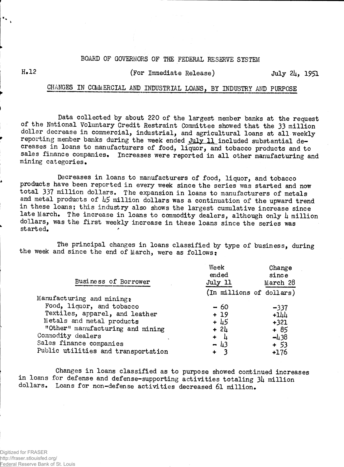## BOARD OF GOVERNORS OF THE FEDERAL RESERVE SYSTEM

 $\mathbf{x}_{\mathbf{a}}$ 

## H\*12 (For Immediate Release) July *2k,* 1951

## CHANGES IN COMMERCIAL AND INDUSTRIAL LOANS, BY INDUSTRY AND PURPOSE

Data collected by about 220 of the largest member banks at the request of the National Voluntary Credit Restraint Committee showed that the 33 million dollar decrease in commercial, industrial, and agricultural loans at all weekly reporting member banks during the week ended July 11 included substantial decreases in loans to manufacturers of food, liquor, and tobacco products and to sales finance companies. Increases were reported in all other manufacturing and mining categories.

Decreases in loans to manufacturers of food, liquor, and tobacco products have been reported in every week since the series was started and now total 337 million dollars. The expansion in loans to manufacturers of metals and metal products of *k5* million dollars was a continuation of the upward trend in these loans; this industry also shows the largest cumulative increase since late March. The increase in loans to commodity dealers, although only  $\mu$  million dollars, was the first weekly increase in these loans since the series was started.

The principal changes in loans classified by type of business, during the week and since the end of March, were as follows:

| Business of Borrower                | Week<br>ended<br>July 11 | Change<br>since<br>March 28 |
|-------------------------------------|--------------------------|-----------------------------|
|                                     |                          |                             |
| Manufacturing and mining:           | (In millions of dollars) |                             |
| Food, liquor, and tobacco           | $-60$                    | $-337$                      |
| Textiles, apparel, and leather      | $+19$                    | $+144$                      |
| Metals and metal products           | $+45$                    | $+321$                      |
| "Other" manufacturing and mining    | $+24$                    | + 85                        |
| Commodity dealers                   | $\frac{1}{2}$<br>$+$     | $-438$                      |
| Sales finance companies             | $-43$                    | $+53$                       |
| Public utilities and transportation | $\ddotmark$              | $+176$                      |

Changes in loans classified as to purpose showed continued increases in loans for defense and defense-supporting activities totaling 34 million dollars. Loans for non-defense activities decreased 61 million.